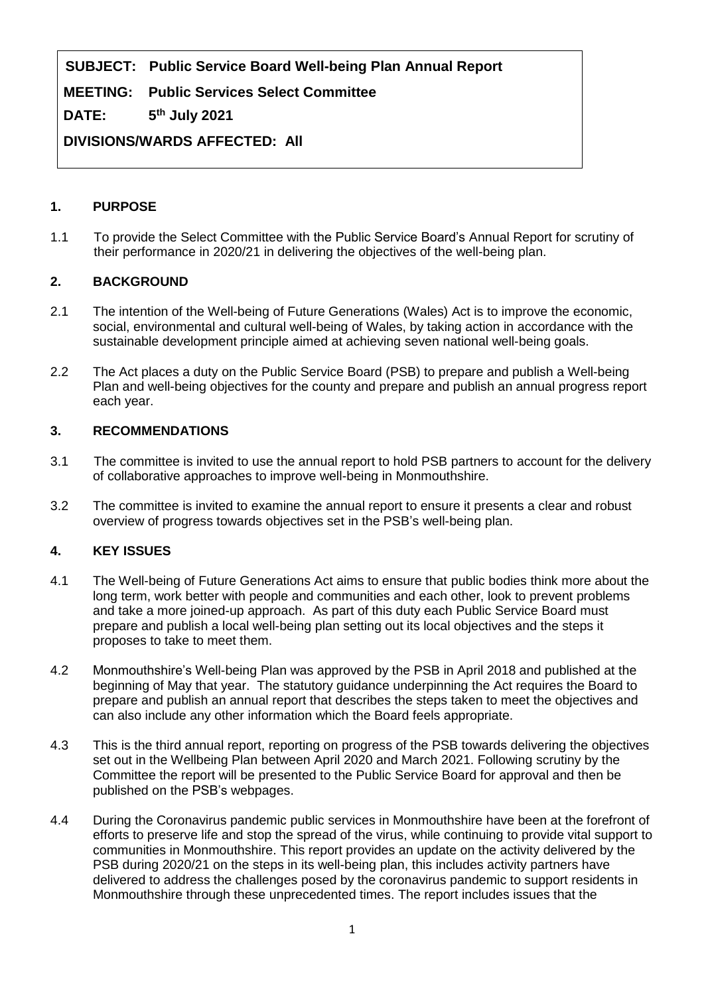**SUBJECT: Public Service Board Well-being Plan Annual Report**

**MEETING: Public Services Select Committee**

**DATE: 5 th July 2021**

**DIVISIONS/WARDS AFFECTED: All**

# **1. PURPOSE**

1.1 To provide the Select Committee with the Public Service Board's Annual Report for scrutiny of their performance in 2020/21 in delivering the objectives of the well-being plan.

# **2. BACKGROUND**

- 2.1 The intention of the Well-being of Future Generations (Wales) Act is to improve the economic, social, environmental and cultural well-being of Wales, by taking action in accordance with the sustainable development principle aimed at achieving seven national well-being goals.
- 2.2 The Act places a duty on the Public Service Board (PSB) to prepare and publish a Well-being Plan and well-being objectives for the county and prepare and publish an annual progress report each year.

# **3. RECOMMENDATIONS**

- 3.1 The committee is invited to use the annual report to hold PSB partners to account for the delivery of collaborative approaches to improve well-being in Monmouthshire.
- 3.2 The committee is invited to examine the annual report to ensure it presents a clear and robust overview of progress towards objectives set in the PSB's well-being plan.

# **4. KEY ISSUES**

- 4.1 The Well-being of Future Generations Act aims to ensure that public bodies think more about the long term, work better with people and communities and each other, look to prevent problems and take a more joined-up approach. As part of this duty each Public Service Board must prepare and publish a local well-being plan setting out its local objectives and the steps it proposes to take to meet them.
- 4.2 Monmouthshire's Well-being Plan was approved by the PSB in April 2018 and published at the beginning of May that year. The statutory guidance underpinning the Act requires the Board to prepare and publish an annual report that describes the steps taken to meet the objectives and can also include any other information which the Board feels appropriate.
- 4.3 This is the third annual report, reporting on progress of the PSB towards delivering the objectives set out in the Wellbeing Plan between April 2020 and March 2021. Following scrutiny by the Committee the report will be presented to the Public Service Board for approval and then be published on the PSB's webpages.
- 4.4 During the Coronavirus pandemic public services in Monmouthshire have been at the forefront of efforts to preserve life and stop the spread of the virus, while continuing to provide vital support to communities in Monmouthshire. This report provides an update on the activity delivered by the PSB during 2020/21 on the steps in its well-being plan, this includes activity partners have delivered to address the challenges posed by the coronavirus pandemic to support residents in Monmouthshire through these unprecedented times. The report includes issues that the